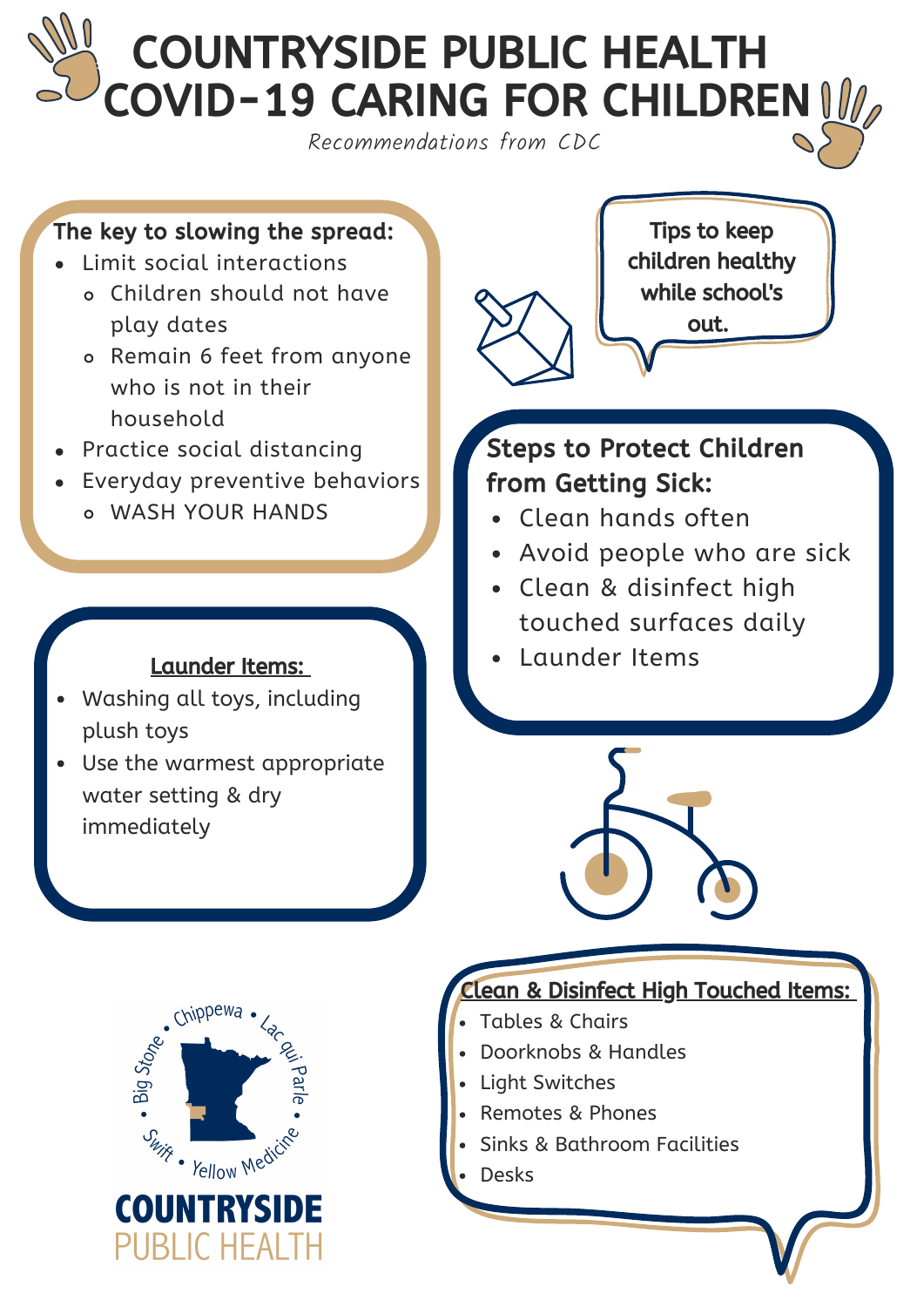# COUNTRYSIDE PUBLIC HEALTH COVID-19 CARING FOR CHILDREN IV

Recommendations from CDC

#### The key to slowing the spread:

- Limit social interactions
	- Children should not have play dates
	- o Remain 6 feet from anyone who is not in their household
- Practice social distancing
- Everyday preventive behaviors WASH YOUR HANDS

#### Launder Items:

- Washing all toys, including plush toys
- Use the warmest appropriate water setting & dry immediately



## Steps to Protect Children from Getting Sick:

- Clean hands often
- Avoid people who are sick
- Clean & disinfect high touched surfaces daily
- Launder Items





### Lean & Disinfect High Touched Items:

- Tables & Chairs
- Doorknobs & Handles
- Light Switches
- Remotes & Phones
- Sinks & Bathroom Facilities
- Desks